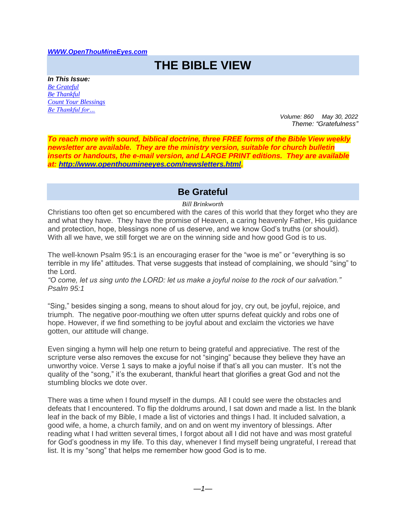#### *[WWW.OpenThouMineEyes.com](http://www.openthoumineeyes.com/)*

# **THE BIBLE VIEW**

*In This Issue: [Be Grateful](#page-0-0) [Be Thankful](#page-1-0) [Count Your Blessings](#page-1-1) [Be Thankful for…](#page-2-0)*

*Volume: 860 May 30, 2022 Theme: "Gratefulness"* 

*To reach more with sound, biblical doctrine, three FREE forms of the Bible View weekly newsletter are available. They are the ministry version, suitable for church bulletin inserts or handouts, the e-mail version, and LARGE PRINT editions. They are available at: [http://www.openthoumineeyes.com/newsletters.html.](http://www.openthoumineeyes.com/newsletters.html)* 

## **Be Grateful**

#### *Bill Brinkworth*

<span id="page-0-0"></span>Christians too often get so encumbered with the cares of this world that they forget who they are and what they have. They have the promise of Heaven, a caring heavenly Father, His guidance and protection, hope, blessings none of us deserve, and we know God's truths (or should). With all we have, we still forget we are on the winning side and how good God is to us.

The well-known Psalm 95:1 is an encouraging eraser for the "woe is me" or "everything is so terrible in my life" attitudes. That verse suggests that instead of complaining, we should "sing" to the Lord.

*"O come, let us sing unto the LORD: let us make a joyful noise to the rock of our salvation." Psalm 95:1*

"Sing," besides singing a song, means to shout aloud for joy, cry out, be joyful, rejoice, and triumph. The negative poor-mouthing we often utter spurns defeat quickly and robs one of hope. However, if we find something to be joyful about and exclaim the victories we have gotten, our attitude will change.

Even singing a hymn will help one return to being grateful and appreciative. The rest of the scripture verse also removes the excuse for not "singing" because they believe they have an unworthy voice. Verse 1 says to make a joyful noise if that's all you can muster. It's not the quality of the "song," it's the exuberant, thankful heart that glorifies a great God and not the stumbling blocks we dote over.

There was a time when I found myself in the dumps. All I could see were the obstacles and defeats that I encountered. To flip the doldrums around, I sat down and made a list. In the blank leaf in the back of my Bible, I made a list of victories and things I had. It included salvation, a good wife, a home, a church family, and on and on went my inventory of blessings. After reading what I had written several times, I forgot about all I did not have and was most grateful for God's goodness in my life. To this day, whenever I find myself being ungrateful, I reread that list. It is my "song" that helps me remember how good God is to me.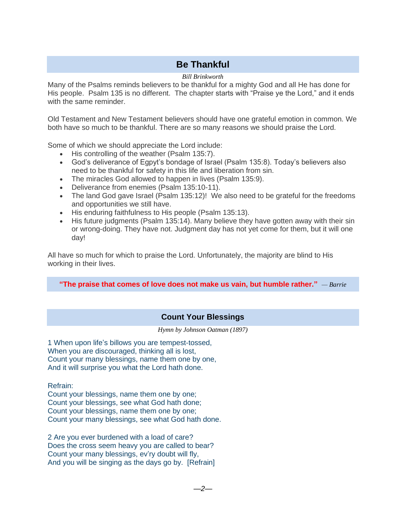## **Be Thankful**

#### *Bill Brinkworth*

<span id="page-1-0"></span>Many of the Psalms reminds believers to be thankful for a mighty God and all He has done for His people. Psalm 135 is no different. The chapter starts with "Praise ye the Lord," and it ends with the same reminder.

Old Testament and New Testament believers should have one grateful emotion in common. We both have so much to be thankful. There are so many reasons we should praise the Lord.

Some of which we should appreciate the Lord include:

- His controlling of the weather (Psalm 135:7).
- God's deliverance of Egpyt's bondage of Israel (Psalm 135:8). Today's believers also need to be thankful for safety in this life and liberation from sin.
- The miracles God allowed to happen in lives (Psalm 135:9).
- Deliverance from enemies (Psalm 135:10-11).
- The land God gave Israel (Psalm 135:12)! We also need to be grateful for the freedoms and opportunities we still have.
- His enduring faithfulness to His people (Psalm 135:13).
- His future judgments (Psalm 135:14). Many believe they have gotten away with their sin or wrong-doing. They have not. Judgment day has not yet come for them, but it will one day!

All have so much for which to praise the Lord. Unfortunately, the majority are blind to His working in their lives.

**"The praise that comes of love does not make us vain, but humble rather."** *— Barrie*

### **Count Your Blessings**

*Hymn by Johnson Oatman (1897)*

<span id="page-1-1"></span>1 When upon life's billows you are tempest-tossed, When you are discouraged, thinking all is lost, Count your many blessings, name them one by one, And it will surprise you what the Lord hath done.

Refrain:

Count your blessings, name them one by one; Count your blessings, see what God hath done; Count your blessings, name them one by one; Count your many blessings, see what God hath done.

2 Are you ever burdened with a load of care? Does the cross seem heavy you are called to bear? Count your many blessings, ev'ry doubt will fly, And you will be singing as the days go by. [Refrain]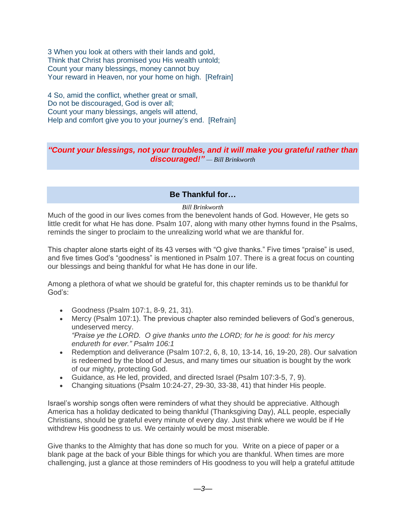3 When you look at others with their lands and gold, Think that Christ has promised you His wealth untold; Count your many blessings, money cannot buy Your reward in Heaven, nor your home on high. [Refrain]

4 So, amid the conflict, whether great or small, Do not be discouraged. God is over all: Count your many blessings, angels will attend, Help and comfort give you to your journey's end. [Refrain]

## *"Count your blessings, not your troubles, and it will make you grateful rather than discouraged!" — Bill Brinkworth*

## **Be Thankful for…**

#### *Bill Brinkworth*

<span id="page-2-0"></span>Much of the good in our lives comes from the benevolent hands of God. However, He gets so little credit for what He has done. Psalm 107, along with many other hymns found in the Psalms, reminds the singer to proclaim to the unrealizing world what we are thankful for.

This chapter alone starts eight of its 43 verses with "O give thanks." Five times "praise" is used, and five times God's "goodness" is mentioned in Psalm 107. There is a great focus on counting our blessings and being thankful for what He has done in our life.

Among a plethora of what we should be grateful for, this chapter reminds us to be thankful for God's:

- Goodness (Psalm 107:1, 8-9, 21, 31).
- Mercy (Psalm 107:1). The previous chapter also reminded believers of God's generous, undeserved mercy. *"Praise ye the LORD. O give thanks unto the LORD; for he is good: for his mercy endureth for ever." Psalm 106:1*
- Redemption and deliverance (Psalm 107:2, 6, 8, 10, 13-14, 16, 19-20, 28). Our salvation is redeemed by the blood of Jesus, and many times our situation is bought by the work of our mighty, protecting God.
- Guidance, as He led, provided, and directed Israel (Psalm 107:3-5, 7, 9).
- Changing situations (Psalm 10:24-27, 29-30, 33-38, 41) that hinder His people.

Israel's worship songs often were reminders of what they should be appreciative. Although America has a holiday dedicated to being thankful (Thanksgiving Day), ALL people, especially Christians, should be grateful every minute of every day. Just think where we would be if He withdrew His goodness to us. We certainly would be most miserable.

Give thanks to the Almighty that has done so much for you. Write on a piece of paper or a blank page at the back of your Bible things for which you are thankful. When times are more challenging, just a glance at those reminders of His goodness to you will help a grateful attitude